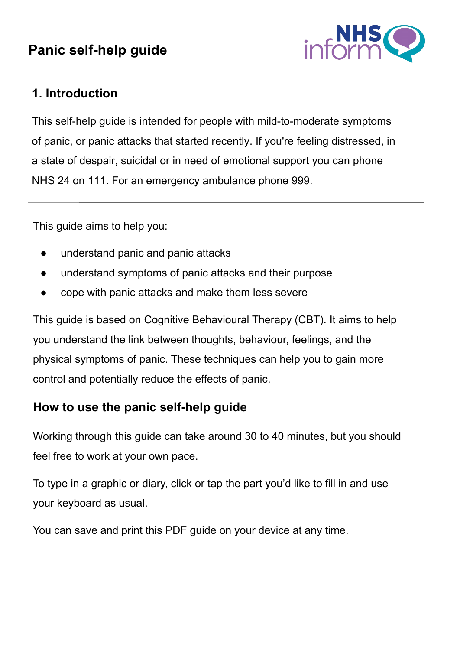# **Panic self-help guide**



### **1. Introduction**

This self-help guide is intended for people with mild-to-moderate symptoms of panic, or panic attacks that started recently. If you're feeling distressed, in a state of despair, suicidal or in need of emotional support you can phone NHS 24 on 111. For an emergency ambulance phone 999.

This guide aims to help you:

- understand panic and panic attacks
- understand symptoms of panic attacks and their purpose
- cope with panic attacks and make them less severe

This guide is based on Cognitive Behavioural Therapy (CBT). It aims to help you understand the link between thoughts, behaviour, feelings, and the physical symptoms of panic. These techniques can help you to gain more control and potentially reduce the effects of panic.

### **How to use the panic self-help guide**

Working through this guide can take around 30 to 40 minutes, but you should feel free to work at your own pace.

To type in a graphic or diary, click or tap the part you'd like to fill in and use your keyboard as usual.

You can save and print this PDF guide on your device at any time.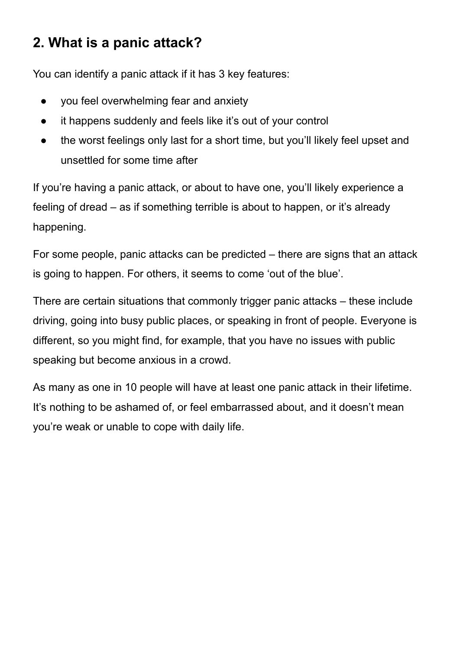# **2. What is a panic attack?**

You can identify a panic attack if it has 3 key features:

- you feel overwhelming fear and anxiety
- it happens suddenly and feels like it's out of your control
- the worst feelings only last for a short time, but you'll likely feel upset and unsettled for some time after

If you're having a panic attack, or about to have one, you'll likely experience a feeling of dread – as if something terrible is about to happen, or it's already happening.

For some people, panic attacks can be predicted – there are signs that an attack is going to happen. For others, it seems to come 'out of the blue'.

There are certain situations that commonly trigger panic attacks – these include driving, going into busy public places, or speaking in front of people. Everyone is different, so you might find, for example, that you have no issues with public speaking but become anxious in a crowd.

As many as one in 10 people will have at least one panic attack in their lifetime. It's nothing to be ashamed of, or feel embarrassed about, and it doesn't mean you're weak or unable to cope with daily life.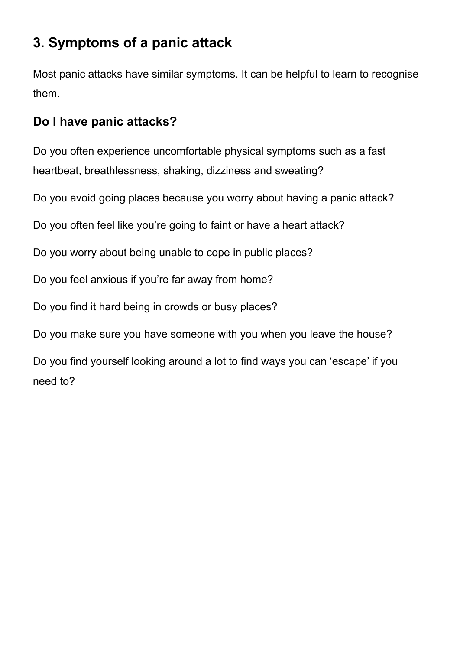# **3. Symptoms of a panic attack**

Most panic attacks have similar symptoms. It can be helpful to learn to recognise them.

### **Do I have panic attacks?**

Do you often experience uncomfortable physical symptoms such as a fast heartbeat, breathlessness, shaking, dizziness and sweating?

Do you avoid going places because you worry about having a panic attack?

Do you often feel like you're going to faint or have a heart attack?

Do you worry about being unable to cope in public places?

Do you feel anxious if you're far away from home?

Do you find it hard being in crowds or busy places?

Do you make sure you have someone with you when you leave the house?

Do you find yourself looking around a lot to find ways you can 'escape' if you need to?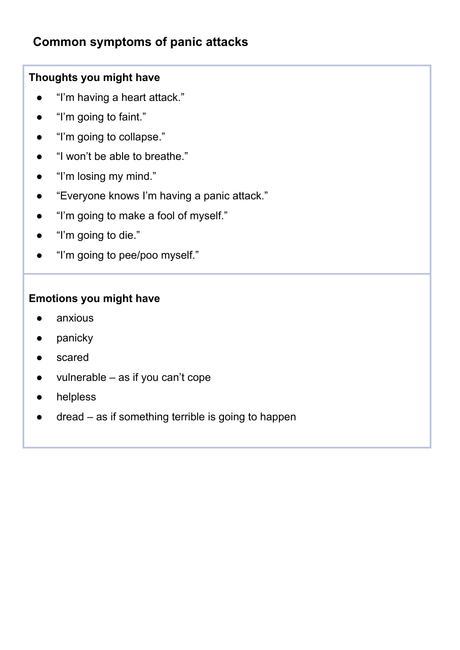### **Common symptoms of panic attacks**

#### **Thoughts you might have**

- "I'm having a heart attack."
- "I'm going to faint."
- "I'm going to collapse."
- "I won't be able to breathe."
- "I'm losing my mind."
- "Everyone knows I'm having a panic attack."
- "I'm going to make a fool of myself."
- "I'm going to die."
- "I'm going to pee/poo myself."

#### **Emotions you might have**

- anxious
- panicky
- scared
- $v$ ulnerable as if you can't cope
- helpless
- dread as if something terrible is going to happen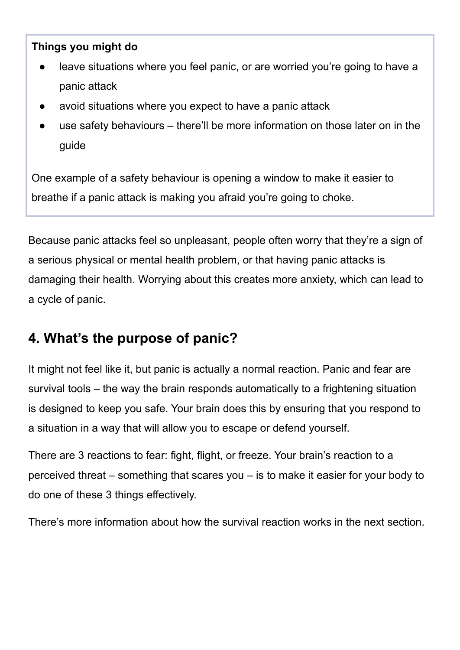#### **Things you might do**

- leave situations where you feel panic, or are worried you're going to have a panic attack
- avoid situations where you expect to have a panic attack
- use safety behaviours there'll be more information on those later on in the guide

One example of a safety behaviour is opening a window to make it easier to breathe if a panic attack is making you afraid you're going to choke.

Because panic attacks feel so unpleasant, people often worry that they're a sign of a serious physical or mental health problem, or that having panic attacks is damaging their health. Worrying about this creates more anxiety, which can lead to a cycle of panic.

## **4. What's the purpose of panic?**

It might not feel like it, but panic is actually a normal reaction. Panic and fear are survival tools – the way the brain responds automatically to a frightening situation is designed to keep you safe. Your brain does this by ensuring that you respond to a situation in a way that will allow you to escape or defend yourself.

There are 3 reactions to fear: fight, flight, or freeze. Your brain's reaction to a perceived threat – something that scares you – is to make it easier for your body to do one of these 3 things effectively.

There's more information about how the survival reaction works in the next section.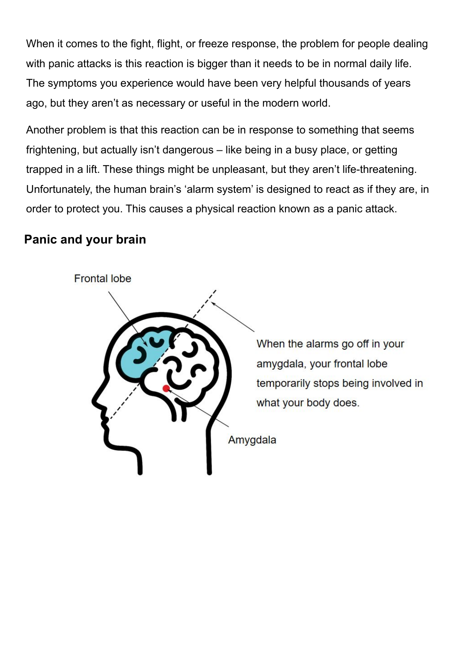When it comes to the fight, flight, or freeze response, the problem for people dealing with panic attacks is this reaction is bigger than it needs to be in normal daily life. The symptoms you experience would have been very helpful thousands of years ago, but they aren't as necessary or useful in the modern world.

Another problem is that this reaction can be in response to something that seems frightening, but actually isn't dangerous – like being in a busy place, or getting trapped in a lift. These things might be unpleasant, but they aren't life-threatening. Unfortunately, the human brain's 'alarm system' is designed to react as if they are, in order to protect you. This causes a physical reaction known as a panic attack.

### **Panic and your brain**



When the alarms go off in your amygdala, your frontal lobe temporarily stops being involved in what your body does.

Amygdala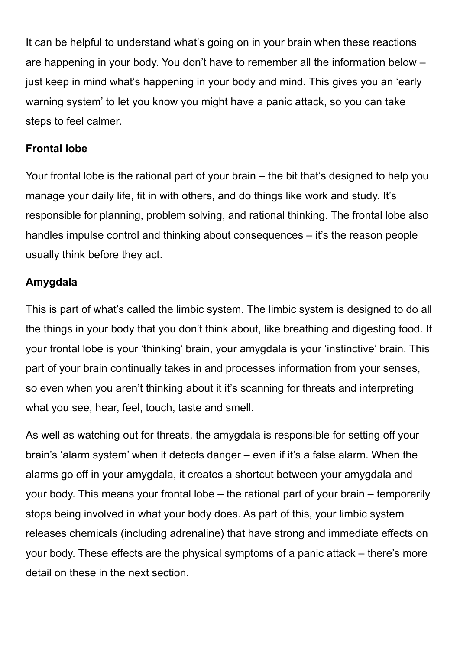It can be helpful to understand what's going on in your brain when these reactions are happening in your body. You don't have to remember all the information below – just keep in mind what's happening in your body and mind. This gives you an 'early warning system' to let you know you might have a panic attack, so you can take steps to feel calmer.

#### **Frontal lobe**

Your frontal lobe is the rational part of your brain – the bit that's designed to help you manage your daily life, fit in with others, and do things like work and study. It's responsible for planning, problem solving, and rational thinking. The frontal lobe also handles impulse control and thinking about consequences – it's the reason people usually think before they act.

#### **Amygdala**

This is part of what's called the limbic system. The limbic system is designed to do all the things in your body that you don't think about, like breathing and digesting food. If your frontal lobe is your 'thinking' brain, your amygdala is your 'instinctive' brain. This part of your brain continually takes in and processes information from your senses, so even when you aren't thinking about it it's scanning for threats and interpreting what you see, hear, feel, touch, taste and smell.

As well as watching out for threats, the amygdala is responsible for setting off your brain's 'alarm system' when it detects danger – even if it's a false alarm. When the alarms go off in your amygdala, it creates a shortcut between your amygdala and your body. This means your frontal lobe – the rational part of your brain – temporarily stops being involved in what your body does. As part of this, your limbic system releases chemicals (including adrenaline) that have strong and immediate effects on your body. These effects are the physical symptoms of a panic attack – there's more detail on these in the next section.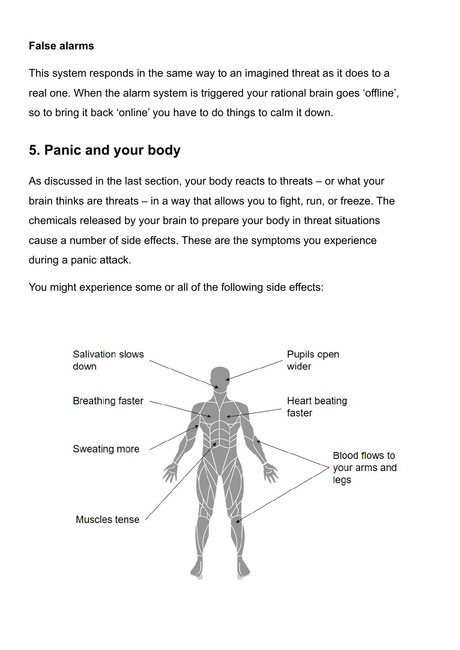#### **False alarms**

This system responds in the same way to an imagined threat as it does to a real one. When the alarm system is triggered your rational brain goes 'offline', so to bring it back 'online' you have to do things to calm it down.

# **5. Panic and your body**

As discussed in the last section, your body reacts to threats – or what your brain thinks are threats – in a way that allows you to fight, run, or freeze. The chemicals released by your brain to prepare your body in threat situations cause a number of side effects. These are the symptoms you experience during a panic attack.

You might experience some or all of the following side effects:

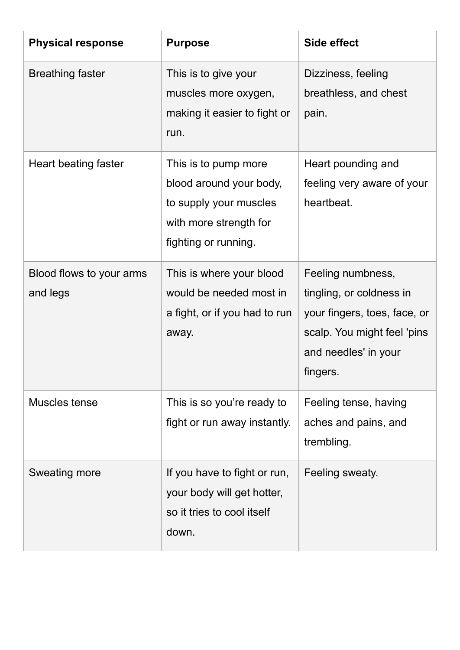| <b>Physical response</b>             | <b>Purpose</b>                                                                                                              | Side effect                                                                                                                                      |
|--------------------------------------|-----------------------------------------------------------------------------------------------------------------------------|--------------------------------------------------------------------------------------------------------------------------------------------------|
| <b>Breathing faster</b>              | This is to give your<br>muscles more oxygen,<br>making it easier to fight or<br>run.                                        | Dizziness, feeling<br>breathless, and chest<br>pain.                                                                                             |
| Heart beating faster                 | This is to pump more<br>blood around your body,<br>to supply your muscles<br>with more strength for<br>fighting or running. | Heart pounding and<br>feeling very aware of your<br>heartbeat.                                                                                   |
| Blood flows to your arms<br>and legs | This is where your blood<br>would be needed most in<br>a fight, or if you had to run<br>away.                               | Feeling numbness,<br>tingling, or coldness in<br>your fingers, toes, face, or<br>scalp. You might feel 'pins<br>and needles' in your<br>fingers. |
| Muscles tense                        | This is so you're ready to<br>fight or run away instantly.                                                                  | Feeling tense, having<br>aches and pains, and<br>trembling.                                                                                      |
| <b>Sweating more</b>                 | If you have to fight or run,<br>your body will get hotter,<br>so it tries to cool itself<br>down.                           | Feeling sweaty.                                                                                                                                  |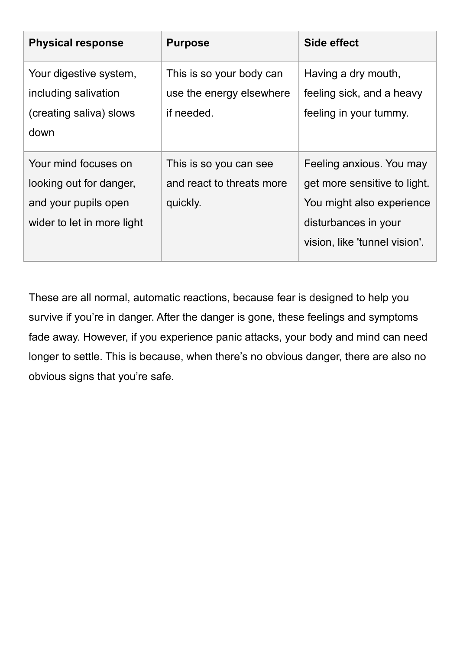| <b>Physical response</b>   | <b>Purpose</b>            | Side effect                   |
|----------------------------|---------------------------|-------------------------------|
| Your digestive system,     | This is so your body can  | Having a dry mouth,           |
| including salivation       | use the energy elsewhere  | feeling sick, and a heavy     |
| (creating saliva) slows    | if needed.                | feeling in your tummy.        |
| down                       |                           |                               |
| Your mind focuses on       | This is so you can see    | Feeling anxious. You may      |
| looking out for danger,    | and react to threats more | get more sensitive to light.  |
| and your pupils open       | quickly.                  | You might also experience     |
| wider to let in more light |                           | disturbances in your          |
|                            |                           | vision, like 'tunnel vision'. |

These are all normal, automatic reactions, because fear is designed to help you survive if you're in danger. After the danger is gone, these feelings and symptoms fade away. However, if you experience panic attacks, your body and mind can need longer to settle. This is because, when there's no obvious danger, there are also no obvious signs that you're safe.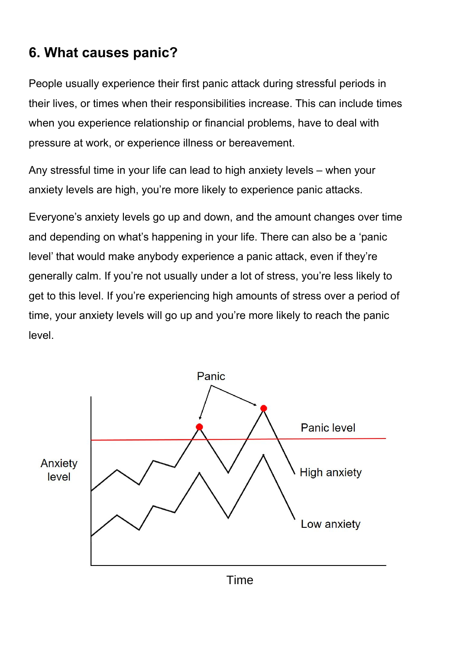# **6. What causes panic?**

People usually experience their first panic attack during stressful periods in their lives, or times when their responsibilities increase. This can include times when you experience relationship or financial problems, have to deal with pressure at work, or experience illness or bereavement.

Any stressful time in your life can lead to high anxiety levels – when your anxiety levels are high, you're more likely to experience panic attacks.

Everyone's anxiety levels go up and down, and the amount changes over time and depending on what's happening in your life. There can also be a 'panic level' that would make anybody experience a panic attack, even if they're generally calm. If you're not usually under a lot of stress, you're less likely to get to this level. If you're experiencing high amounts of stress over a period of time, your anxiety levels will go up and you're more likely to reach the panic level.

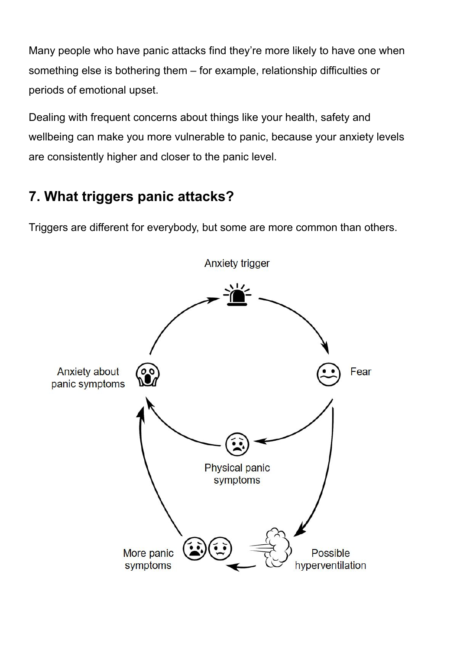Many people who have panic attacks find they're more likely to have one when something else is bothering them – for example, relationship difficulties or periods of emotional upset.

Dealing with frequent concerns about things like your health, safety and wellbeing can make you more vulnerable to panic, because your anxiety levels are consistently higher and closer to the panic level.

# **7. What triggers panic attacks?**

Triggers are different for everybody, but some are more common than others.



**Anxiety trigger**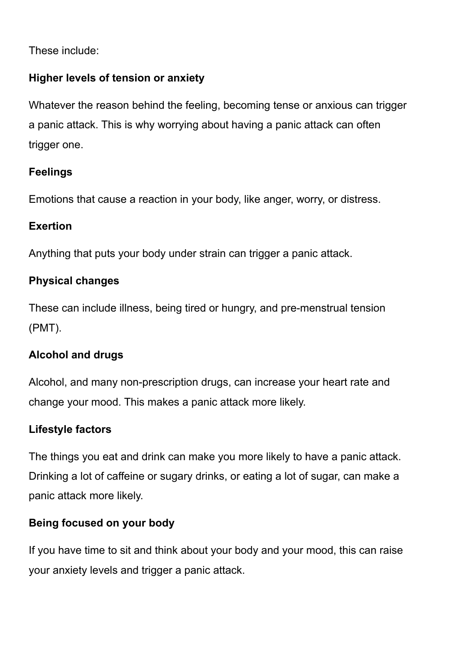These include:

#### **Higher levels of tension or anxiety**

Whatever the reason behind the feeling, becoming tense or anxious can trigger a panic attack. This is why worrying about having a panic attack can often trigger one.

#### **Feelings**

Emotions that cause a reaction in your body, like anger, worry, or distress.

#### **Exertion**

Anything that puts your body under strain can trigger a panic attack.

#### **Physical changes**

These can include illness, being tired or hungry, and pre-menstrual tension (PMT).

### **Alcohol and drugs**

Alcohol, and many non-prescription drugs, can increase your heart rate and change your mood. This makes a panic attack more likely.

### **Lifestyle factors**

The things you eat and drink can make you more likely to have a panic attack. Drinking a lot of caffeine or sugary drinks, or eating a lot of sugar, can make a panic attack more likely.

### **Being focused on your body**

If you have time to sit and think about your body and your mood, this can raise your anxiety levels and trigger a panic attack.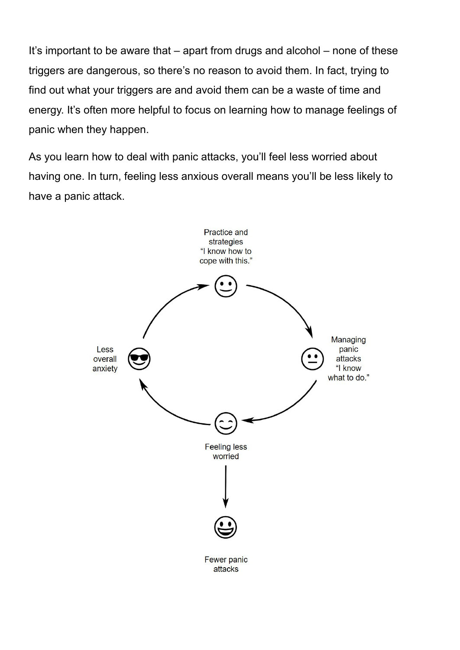It's important to be aware that – apart from drugs and alcohol – none of these triggers are dangerous, so there's no reason to avoid them. In fact, trying to find out what your triggers are and avoid them can be a waste of time and energy. It's often more helpful to focus on learning how to manage feelings of panic when they happen.

As you learn how to deal with panic attacks, you'll feel less worried about having one. In turn, feeling less anxious overall means you'll be less likely to have a panic attack.

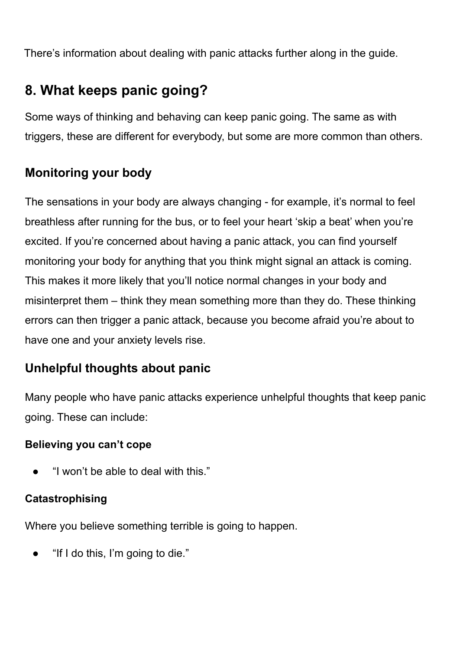There's information about dealing with panic attacks further along in the guide.

# **8. What keeps panic going?**

Some ways of thinking and behaving can keep panic going. The same as with triggers, these are different for everybody, but some are more common than others.

### **Monitoring your body**

The sensations in your body are always changing - for example, it's normal to feel breathless after running for the bus, or to feel your heart 'skip a beat' when you're excited. If you're concerned about having a panic attack, you can find yourself monitoring your body for anything that you think might signal an attack is coming. This makes it more likely that you'll notice normal changes in your body and misinterpret them – think they mean something more than they do. These thinking errors can then trigger a panic attack, because you become afraid you're about to have one and your anxiety levels rise.

### **Unhelpful thoughts about panic**

Many people who have panic attacks experience unhelpful thoughts that keep panic going. These can include:

#### **Believing you can't cope**

"I won't be able to deal with this."

### **Catastrophising**

Where you believe something terrible is going to happen.

• "If I do this, I'm going to die."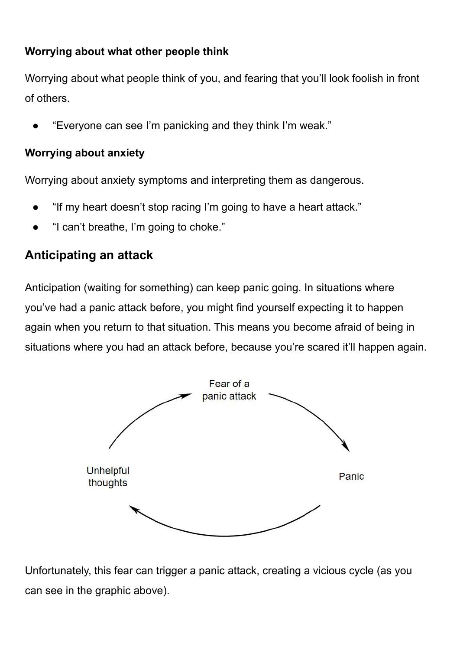#### **Worrying about what other people think**

Worrying about what people think of you, and fearing that you'll look foolish in front of others.

"Everyone can see I'm panicking and they think I'm weak."

#### **Worrying about anxiety**

Worrying about anxiety symptoms and interpreting them as dangerous.

- "If my heart doesn't stop racing I'm going to have a heart attack."
- "I can't breathe, I'm going to choke."

### **Anticipating an attack**

Anticipation (waiting for something) can keep panic going. In situations where you've had a panic attack before, you might find yourself expecting it to happen again when you return to that situation. This means you become afraid of being in situations where you had an attack before, because you're scared it'll happen again.



Unfortunately, this fear can trigger a panic attack, creating a vicious cycle (as you can see in the graphic above).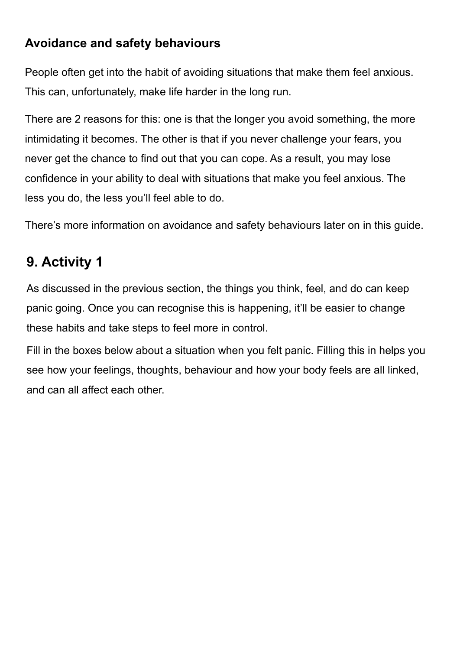### **Avoidance and safety behaviours**

People often get into the habit of avoiding situations that make them feel anxious. This can, unfortunately, make life harder in the long run.

There are 2 reasons for this: one is that the longer you avoid something, the more intimidating it becomes. The other is that if you never challenge your fears, you never get the chance to find out that you can cope. As a result, you may lose confidence in your ability to deal with situations that make you feel anxious. The less you do, the less you'll feel able to do.

There's more information on avoidance and safety behaviours later on in this guide.

# **9. Activity 1**

As discussed in the previous section, the things you think, feel, and do can keep panic going. Once you can recognise this is happening, it'll be easier to change these habits and take steps to feel more in control.

Fill in the boxes below about a situation when you felt panic. Filling this in helps you see how your feelings, thoughts, behaviour and how your body feels are all linked, and can all affect each other.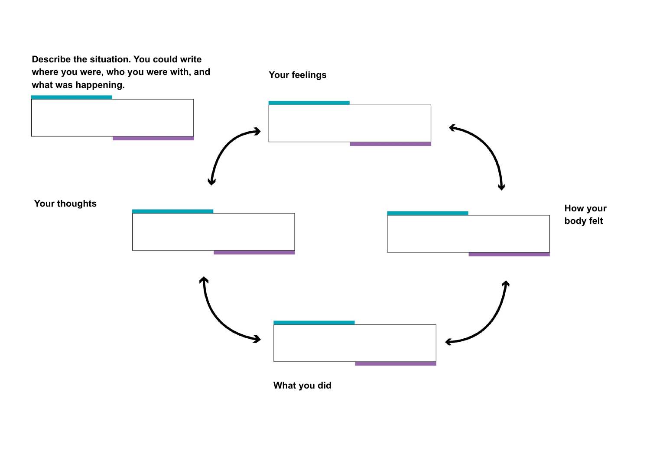**Describe the situation. You could write where you were, who you were with, and what was happening. Your feelings Your thoughts What you did How your body felt**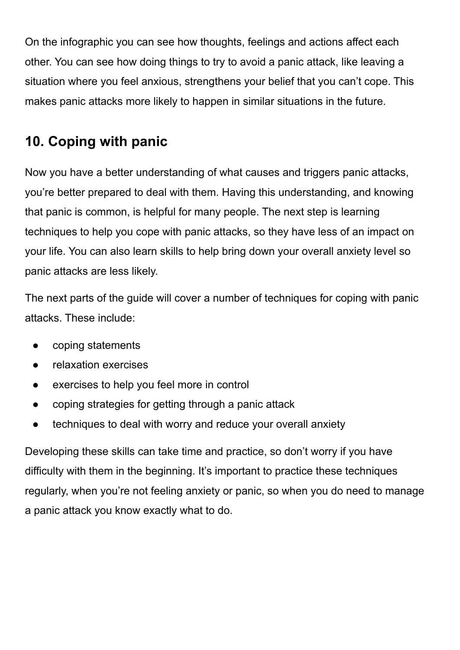On the infographic you can see how thoughts, feelings and actions affect each other. You can see how doing things to try to avoid a panic attack, like leaving a situation where you feel anxious, strengthens your belief that you can't cope. This makes panic attacks more likely to happen in similar situations in the future.

## **10. Coping with panic**

Now you have a better understanding of what causes and triggers panic attacks, you're better prepared to deal with them. Having this understanding, and knowing that panic is common, is helpful for many people. The next step is learning techniques to help you cope with panic attacks, so they have less of an impact on your life. You can also learn skills to help bring down your overall anxiety level so panic attacks are less likely.

The next parts of the guide will cover a number of techniques for coping with panic attacks. These include:

- coping statements
- relaxation exercises
- exercises to help you feel more in control
- coping strategies for getting through a panic attack
- techniques to deal with worry and reduce your overall anxiety

Developing these skills can take time and practice, so don't worry if you have difficulty with them in the beginning. It's important to practice these techniques regularly, when you're not feeling anxiety or panic, so when you do need to manage a panic attack you know exactly what to do.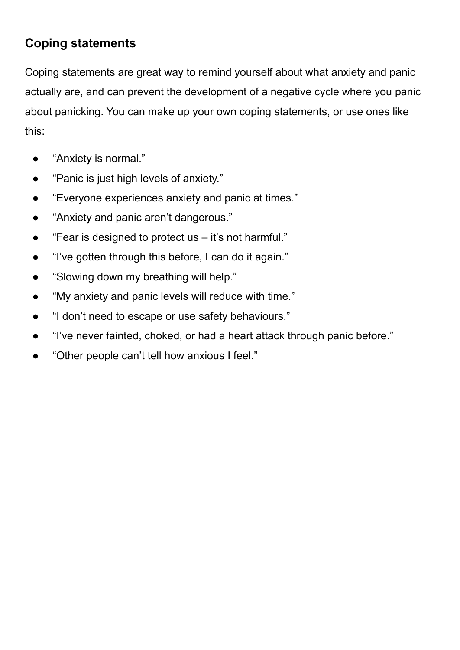### **Coping statements**

Coping statements are great way to remind yourself about what anxiety and panic actually are, and can prevent the development of a negative cycle where you panic about panicking. You can make up your own coping statements, or use ones like this:

- "Anxiety is normal."
- "Panic is just high levels of anxiety."
- "Everyone experiences anxiety and panic at times."
- "Anxiety and panic aren't dangerous."
- "Fear is designed to protect us it's not harmful."
- "I've gotten through this before, I can do it again."
- "Slowing down my breathing will help."
- "My anxiety and panic levels will reduce with time."
- "I don't need to escape or use safety behaviours."
- "I've never fainted, choked, or had a heart attack through panic before."
- "Other people can't tell how anxious I feel."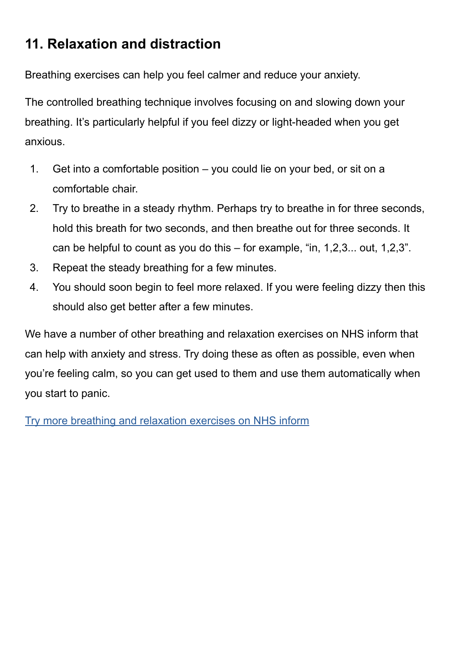## **11. Relaxation and distraction**

Breathing exercises can help you feel calmer and reduce your anxiety.

The controlled breathing technique involves focusing on and slowing down your breathing. It's particularly helpful if you feel dizzy or light-headed when you get anxious.

- 1. Get into a comfortable position you could lie on your bed, or sit on a comfortable chair.
- 2. Try to breathe in a steady rhythm. Perhaps try to breathe in for three seconds, hold this breath for two seconds, and then breathe out for three seconds. It can be helpful to count as you do this – for example, "in, 1,2,3... out, 1,2,3".
- 3. Repeat the steady breathing for a few minutes.
- 4. You should soon begin to feel more relaxed. If you were feeling dizzy then this should also get better after a few minutes.

We have a number of other breathing and relaxation exercises on NHS inform that can help with anxiety and stress. Try doing these as often as possible, even when you're feeling calm, so you can get used to them and use them automatically when you start to panic.

[Try more breathing and relaxation exercises on NHS inform](https://www.nhsinform.scot/healthy-living/mental-wellbeing/stress/breathing-and-relaxation-exercises-for-stress)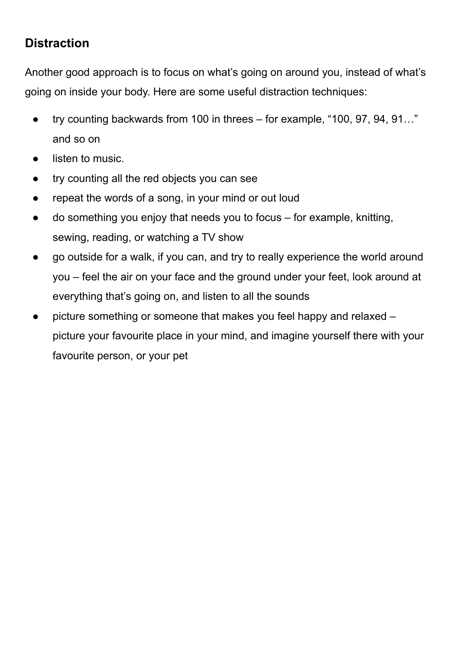### **Distraction**

Another good approach is to focus on what's going on around you, instead of what's going on inside your body. Here are some useful distraction techniques:

- try counting backwards from 100 in threes for example, "100, 97, 94, 91..." and so on
- listen to music.
- try counting all the red objects you can see
- repeat the words of a song, in your mind or out loud
- $\alpha$  do something you enjoy that needs you to focus for example, knitting, sewing, reading, or watching a TV show
- go outside for a walk, if you can, and try to really experience the world around you – feel the air on your face and the ground under your feet, look around at everything that's going on, and listen to all the sounds
- picture something or someone that makes you feel happy and relaxed picture your favourite place in your mind, and imagine yourself there with your favourite person, or your pet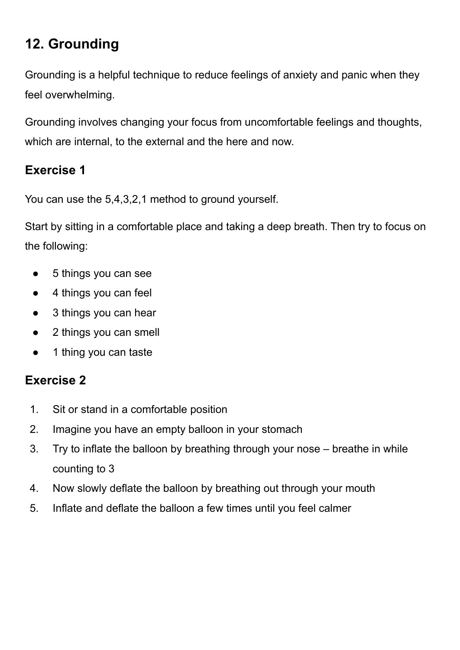# **12. Grounding**

Grounding is a helpful technique to reduce feelings of anxiety and panic when they feel overwhelming.

Grounding involves changing your focus from uncomfortable feelings and thoughts, which are internal, to the external and the here and now.

### **Exercise 1**

You can use the 5,4,3,2,1 method to ground yourself.

Start by sitting in a comfortable place and taking a deep breath. Then try to focus on the following:

- 5 things you can see
- 4 things you can feel
- 3 things you can hear
- 2 things you can smell
- 1 thing you can taste

### **Exercise 2**

- 1. Sit or stand in a comfortable position
- 2. Imagine you have an empty balloon in your stomach
- 3. Try to inflate the balloon by breathing through your nose breathe in while counting to 3
- 4. Now slowly deflate the balloon by breathing out through your mouth
- 5. Inflate and deflate the balloon a few times until you feel calmer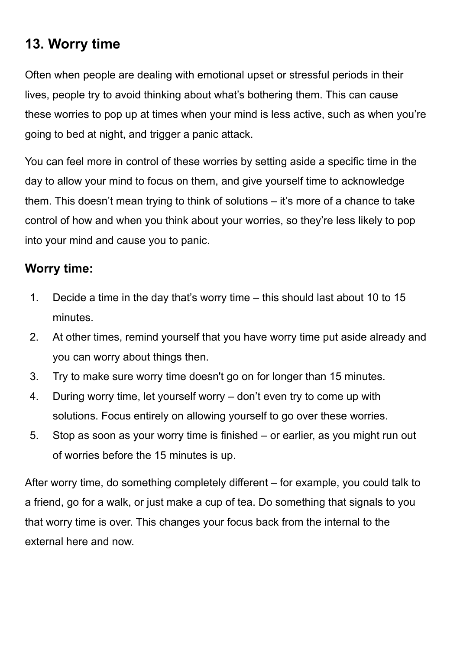# **13. Worry time**

Often when people are dealing with emotional upset or stressful periods in their lives, people try to avoid thinking about what's bothering them. This can cause these worries to pop up at times when your mind is less active, such as when you're going to bed at night, and trigger a panic attack.

You can feel more in control of these worries by setting aside a specific time in the day to allow your mind to focus on them, and give yourself time to acknowledge them. This doesn't mean trying to think of solutions – it's more of a chance to take control of how and when you think about your worries, so they're less likely to pop into your mind and cause you to panic.

### **Worry time:**

- 1. Decide a time in the day that's worry time this should last about 10 to 15 minutes.
- 2. At other times, remind yourself that you have worry time put aside already and you can worry about things then.
- 3. Try to make sure worry time doesn't go on for longer than 15 minutes.
- 4. During worry time, let yourself worry don't even try to come up with solutions. Focus entirely on allowing yourself to go over these worries.
- 5. Stop as soon as your worry time is finished or earlier, as you might run out of worries before the 15 minutes is up.

After worry time, do something completely different – for example, you could talk to a friend, go for a walk, or just make a cup of tea. Do something that signals to you that worry time is over. This changes your focus back from the internal to the external here and now.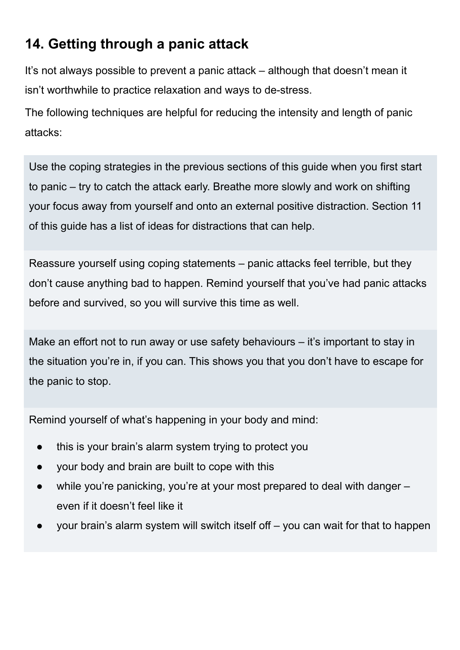# **14. Getting through a panic attack**

It's not always possible to prevent a panic attack – although that doesn't mean it isn't worthwhile to practice relaxation and ways to de-stress.

The following techniques are helpful for reducing the intensity and length of panic attacks:

Use the coping strategies in the previous sections of this guide when you first start to panic – try to catch the attack early. Breathe more slowly and work on shifting your focus away from yourself and onto an external positive distraction. Section 11 of this guide has a list of ideas for distractions that can help.

Reassure yourself using coping statements – panic attacks feel terrible, but they don't cause anything bad to happen. Remind yourself that you've had panic attacks before and survived, so you will survive this time as well.

Make an effort not to run away or use safety behaviours – it's important to stay in the situation you're in, if you can. This shows you that you don't have to escape for the panic to stop.

Remind yourself of what's happening in your body and mind:

- this is your brain's alarm system trying to protect you
- your body and brain are built to cope with this
- while you're panicking, you're at your most prepared to deal with danger even if it doesn't feel like it
- your brain's alarm system will switch itself off  $-$  you can wait for that to happen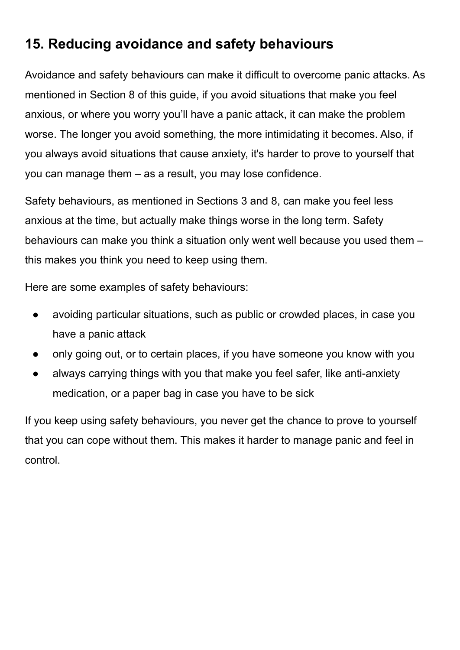# **15. Reducing avoidance and safety behaviours**

Avoidance and safety behaviours can make it difficult to overcome panic attacks. As mentioned in Section 8 of this guide, if you avoid situations that make you feel anxious, or where you worry you'll have a panic attack, it can make the problem worse. The longer you avoid something, the more intimidating it becomes. Also, if you always avoid situations that cause anxiety, it's harder to prove to yourself that you can manage them – as a result, you may lose confidence.

Safety behaviours, as mentioned in Sections 3 and 8, can make you feel less anxious at the time, but actually make things worse in the long term. Safety behaviours can make you think a situation only went well because you used them – this makes you think you need to keep using them.

Here are some examples of safety behaviours:

- avoiding particular situations, such as public or crowded places, in case you have a panic attack
- only going out, or to certain places, if you have someone you know with you
- always carrying things with you that make you feel safer, like anti-anxiety medication, or a paper bag in case you have to be sick

If you keep using safety behaviours, you never get the chance to prove to yourself that you can cope without them. This makes it harder to manage panic and feel in control.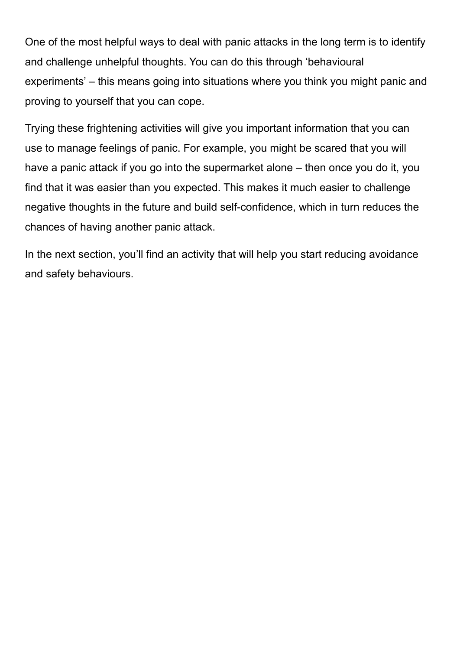One of the most helpful ways to deal with panic attacks in the long term is to identify and challenge unhelpful thoughts. You can do this through 'behavioural experiments' – this means going into situations where you think you might panic and proving to yourself that you can cope.

Trying these frightening activities will give you important information that you can use to manage feelings of panic. For example, you might be scared that you will have a panic attack if you go into the supermarket alone – then once you do it, you find that it was easier than you expected. This makes it much easier to challenge negative thoughts in the future and build self-confidence, which in turn reduces the chances of having another panic attack.

In the next section, you'll find an activity that will help you start reducing avoidance and safety behaviours.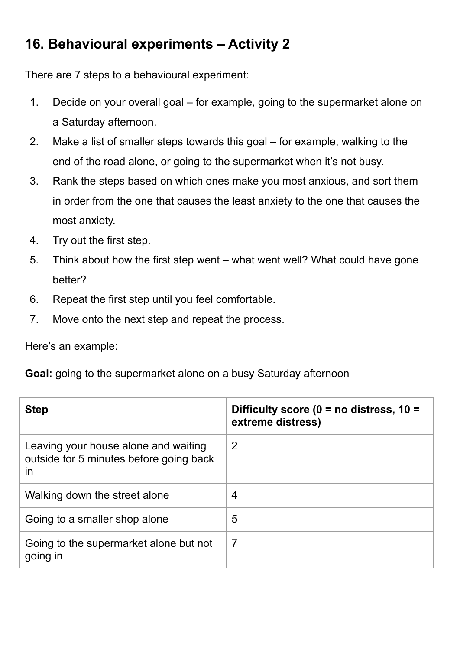# **16. Behavioural experiments – Activity 2**

There are 7 steps to a behavioural experiment:

- 1. Decide on your overall goal for example, going to the supermarket alone on a Saturday afternoon.
- 2. Make a list of smaller steps towards this goal for example, walking to the end of the road alone, or going to the supermarket when it's not busy.
- 3. Rank the steps based on which ones make you most anxious, and sort them in order from the one that causes the least anxiety to the one that causes the most anxiety.
- 4. Try out the first step.
- 5. Think about how the first step went what went well? What could have gone better?
- 6. Repeat the first step until you feel comfortable.
- 7. Move onto the next step and repeat the process.

Here's an example:

**Goal:** going to the supermarket alone on a busy Saturday afternoon

| <b>Step</b>                                                                                  | Difficulty score ( $0 =$ no distress, $10 =$<br>extreme distress) |
|----------------------------------------------------------------------------------------------|-------------------------------------------------------------------|
| Leaving your house alone and waiting<br>outside for 5 minutes before going back<br><i>in</i> | 2                                                                 |
| Walking down the street alone                                                                | 4                                                                 |
| Going to a smaller shop alone                                                                | 5                                                                 |
| Going to the supermarket alone but not<br>going in                                           | $\overline{7}$                                                    |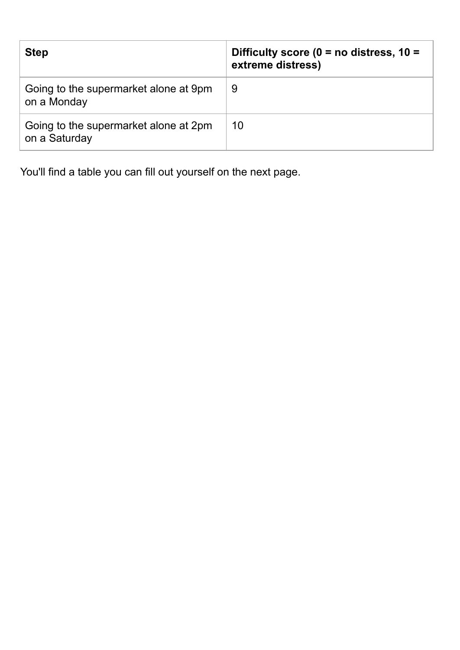| <b>Step</b>                                            | Difficulty score ( $0 =$ no distress, $10 =$<br>extreme distress) |
|--------------------------------------------------------|-------------------------------------------------------------------|
| Going to the supermarket alone at 9pm<br>on a Monday   | 9                                                                 |
| Going to the supermarket alone at 2pm<br>on a Saturday | 10                                                                |

You'll find a table you can fill out yourself on the next page.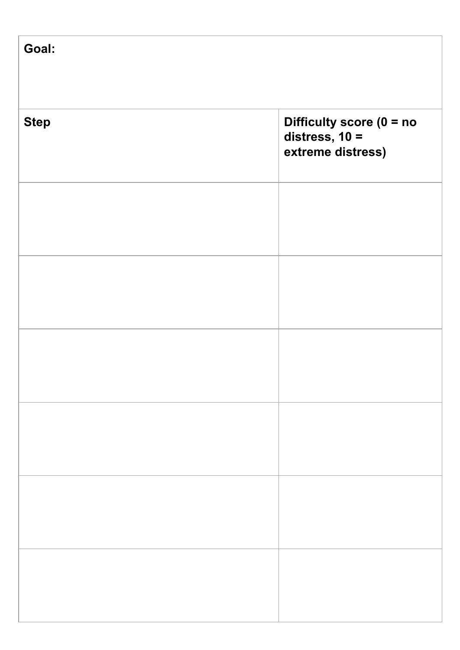| Goal:       |                                                                     |
|-------------|---------------------------------------------------------------------|
| <b>Step</b> | Difficulty score $(0 = no$<br>distress, $10 =$<br>extreme distress) |
|             |                                                                     |
|             |                                                                     |
|             |                                                                     |
|             |                                                                     |
|             |                                                                     |
|             |                                                                     |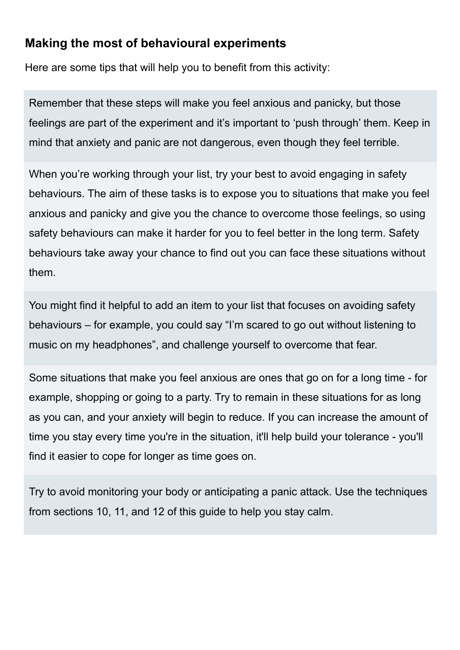### **Making the most of behavioural experiments**

Here are some tips that will help you to benefit from this activity:

Remember that these steps will make you feel anxious and panicky, but those feelings are part of the experiment and it's important to 'push through' them. Keep in mind that anxiety and panic are not dangerous, even though they feel terrible.

When you're working through your list, try your best to avoid engaging in safety behaviours. The aim of these tasks is to expose you to situations that make you feel anxious and panicky and give you the chance to overcome those feelings, so using safety behaviours can make it harder for you to feel better in the long term. Safety behaviours take away your chance to find out you can face these situations without them.

You might find it helpful to add an item to your list that focuses on avoiding safety behaviours – for example, you could say "I'm scared to go out without listening to music on my headphones", and challenge yourself to overcome that fear.

Some situations that make you feel anxious are ones that go on for a long time - for example, shopping or going to a party. Try to remain in these situations for as long as you can, and your anxiety will begin to reduce. If you can increase the amount of time you stay every time you're in the situation, it'll help build your tolerance - you'll find it easier to cope for longer as time goes on.

Try to avoid monitoring your body or anticipating a panic attack. Use the techniques from sections 10, 11, and 12 of this guide to help you stay calm.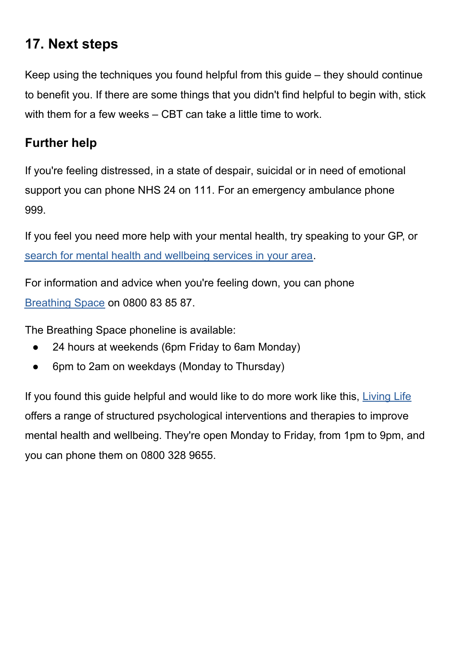## **17. Next steps**

Keep using the techniques you found helpful from this guide – they should continue to benefit you. If there are some things that you didn't find helpful to begin with, stick with them for a few weeks – CBT can take a little time to work.

### **Further help**

If you're feeling distressed, in a state of despair, suicidal or in need of emotional support you can phone NHS 24 on 111. For an emergency ambulance phone 999.

If you feel you need more help with your mental health, try speaking to your GP, or [search for mental health and wellbeing services in your area.](https://www.nhsinform.scot/scotlands-service-directory/health-and-wellbeing-services?sortby=_distance&sortdir=Asc&svctype=15)

For information and advice when you're feeling down, you can phone [Breathing Space](https://breathingspace.scot/) on 0800 83 85 87.

The Breathing Space phoneline is available:

- 24 hours at weekends (6pm Friday to 6am Monday)
- 6pm to 2am on weekdays (Monday to Thursday)

If you found this guide helpful and would like to do more work like this, [Living Life](https://breathingspace.scot/living-life/) offers a range of structured psychological interventions and therapies to improve mental health and wellbeing. They're open Monday to Friday, from 1pm to 9pm, and you can phone them on 0800 328 9655.